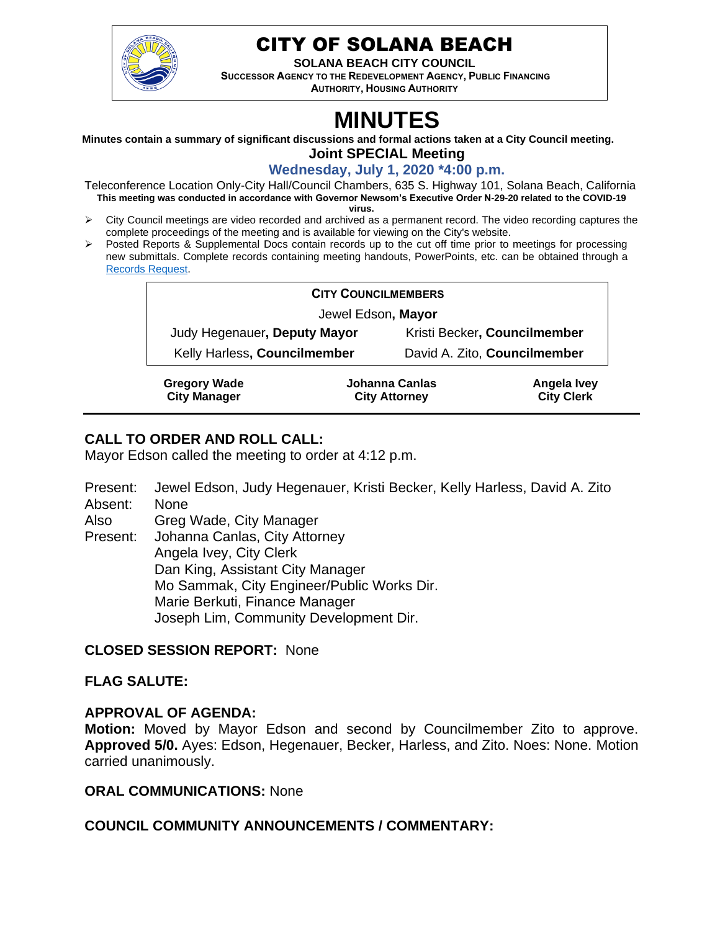

## CITY OF SOLANA BEACH

**SOLANA BEACH CITY COUNCIL**

**SUCCESSOR AGENCY TO THE REDEVELOPMENT AGENCY, PUBLIC FINANCING AUTHORITY, HOUSING AUTHORITY** 

# **MINUTES**

**Minutes contain a summary of significant discussions and formal actions taken at a City Council meeting.**

**Joint SPECIAL Meeting**

**Wednesday, July 1, 2020 \*4:00 p.m.**

Teleconference Location Only-City Hall/Council Chambers, 635 S. Highway 101, Solana Beach, California **This meeting was conducted in accordance with Governor Newsom's Executive Order N-29-20 related to the COVID-19 virus.**

- ➢ City Council meetings are video recorded and archived as a permanent record. The video recording captures the complete proceedings of the meeting and is available for viewing on the City's website.
- ➢ Posted Reports & Supplemental Docs contain records up to the cut off time prior to meetings for processing new submittals. Complete records containing meeting handouts, PowerPoints, etc. can be obtained through a [Records Request.](http://www.ci.solana-beach.ca.us/index.asp?SEC=F5D45D10-70CE-4291-A27C-7BD633FC6742&Type=B_BASIC)

| <b>CITY COUNCILMEMBERS</b>                 |                                        |                              |                                  |  |  |
|--------------------------------------------|----------------------------------------|------------------------------|----------------------------------|--|--|
| Jewel Edson, Mayor                         |                                        |                              |                                  |  |  |
| Judy Hegenauer, Deputy Mayor               |                                        | Kristi Becker, Councilmember |                                  |  |  |
| Kelly Harless, Councilmember               |                                        | David A. Zito, Councilmember |                                  |  |  |
| <b>Gregory Wade</b><br><b>City Manager</b> | Johanna Canlas<br><b>City Attorney</b> |                              | Angela Ivey<br><b>City Clerk</b> |  |  |

## **CALL TO ORDER AND ROLL CALL:**

Mayor Edson called the meeting to order at 4:12 p.m.

- Present: Jewel Edson, Judy Hegenauer, Kristi Becker, Kelly Harless, David A. Zito Absent: None
- Also Greg Wade, City Manager
- Present: Johanna Canlas, City Attorney Angela Ivey, City Clerk Dan King, Assistant City Manager Mo Sammak, City Engineer/Public Works Dir. Marie Berkuti, Finance Manager Joseph Lim, Community Development Dir.

## **CLOSED SESSION REPORT:** None

## **FLAG SALUTE:**

## **APPROVAL OF AGENDA:**

**Motion:** Moved by Mayor Edson and second by Councilmember Zito to approve. **Approved 5/0.** Ayes: Edson, Hegenauer, Becker, Harless, and Zito. Noes: None. Motion carried unanimously.

#### **ORAL COMMUNICATIONS:** None

## **COUNCIL COMMUNITY ANNOUNCEMENTS / COMMENTARY:**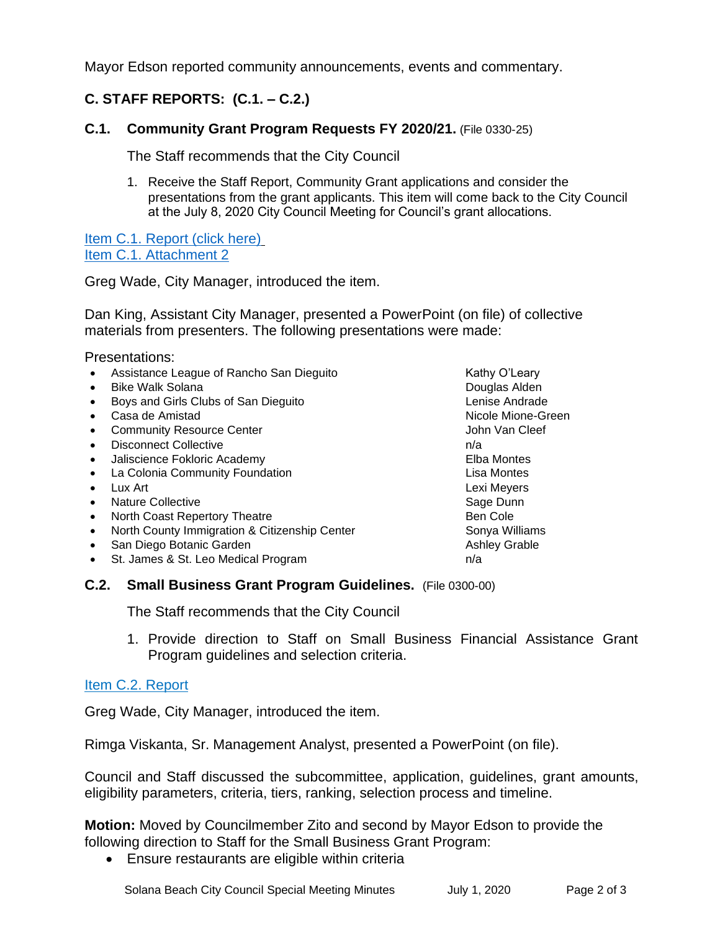Mayor Edson reported community announcements, events and commentary.

## **C. STAFF REPORTS: (C.1. – C.2.)**

### **C.1. Community Grant Program Requests FY 2020/21.** (File 0330-25)

The Staff recommends that the City Council

1. Receive the Staff Report, Community Grant applications and consider the presentations from the grant applicants. This item will come back to the City Council at the July 8, 2020 City Council Meeting for Council's grant allocations.

[Item C.1. Report \(click here\)](https://solanabeach.govoffice3.com/vertical/Sites/%7B840804C2-F869-4904-9AE3-720581350CE7%7D/uploads/Item_C.1._Report_(click_here)_07-01-20_-_O.pdf) [Item C.1. Attachment 2](https://www.dropbox.com/sh/ovo5k583g97st53/AAAqdBNZD3x12YugfGmIi_IYa?dl=0)

Greg Wade, City Manager, introduced the item.

Dan King, Assistant City Manager, presented a PowerPoint (on file) of collective materials from presenters. The following presentations were made:

Presentations:

|           | Assistance League of Rancho San Dieguito      | Kathy O'Leary        |
|-----------|-----------------------------------------------|----------------------|
|           | <b>Bike Walk Solana</b>                       | Douglas Alden        |
|           | Boys and Girls Clubs of San Dieguito          | Lenise Andrade       |
|           | Casa de Amistad                               | Nicole Mione-Green   |
|           | <b>Community Resource Center</b>              | John Van Cleef       |
|           | <b>Disconnect Collective</b>                  | n/a                  |
| $\bullet$ | Jaliscience Fokloric Academy                  | Elba Montes          |
|           | La Colonia Community Foundation               | Lisa Montes          |
|           | Lux Art                                       | Lexi Meyers          |
|           | <b>Nature Collective</b>                      | Sage Dunn            |
| $\bullet$ | North Coast Repertory Theatre                 | Ben Cole             |
|           | North County Immigration & Citizenship Center | Sonya Williams       |
|           | San Diego Botanic Garden                      | <b>Ashley Grable</b> |
|           | St. James & St. Leo Medical Program           | n/a                  |
|           |                                               |                      |

#### **C.2. Small Business Grant Program Guidelines.** (File 0300-00)

The Staff recommends that the City Council

1. Provide direction to Staff on Small Business Financial Assistance Grant Program guidelines and selection criteria.

## [Item C.2. Report](https://solanabeach.govoffice3.com/vertical/Sites/%7B840804C2-F869-4904-9AE3-720581350CE7%7D/uploads/Item_C.2._Report_(click_here)_07-01-20.pdf)

Greg Wade, City Manager, introduced the item.

Rimga Viskanta, Sr. Management Analyst, presented a PowerPoint (on file).

Council and Staff discussed the subcommittee, application, guidelines, grant amounts, eligibility parameters, criteria, tiers, ranking, selection process and timeline.

**Motion:** Moved by Councilmember Zito and second by Mayor Edson to provide the following direction to Staff for the Small Business Grant Program:

• Ensure restaurants are eligible within criteria